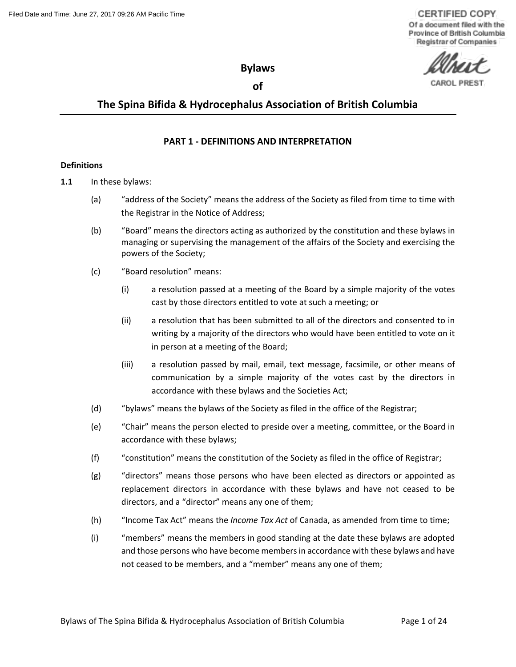**CERTIFIED COPY** Of a document filed with the Province of British Columbia **Registrar of Companies** 

**Bylaws**

# **of**

# **The Spina Bifida & Hydrocephalus Association of British Columbia**

# **PART 1 - DEFINITIONS AND INTERPRETATION**

## **Definitions**

- **1.1** In these bylaws:
	- (a) "address of the Society" means the address of the Society as filed from time to time with the Registrar in the Notice of Address;
	- (b) "Board" means the directors acting as authorized by the constitution and these bylaws in managing or supervising the management of the affairs of the Society and exercising the powers of the Society;
	- (c) "Board resolution" means:
		- (i) a resolution passed at a meeting of the Board by a simple majority of the votes cast by those directors entitled to vote at such a meeting; or
		- (ii) a resolution that has been submitted to all of the directors and consented to in writing by a majority of the directors who would have been entitled to vote on it in person at a meeting of the Board;
		- (iii) a resolution passed by mail, email, text message, facsimile, or other means of communication by a simple majority of the votes cast by the directors in accordance with these bylaws and the Societies Act;
	- (d) "bylaws" means the bylaws of the Society as filed in the office of the Registrar;
	- (e) "Chair" means the person elected to preside over a meeting, committee, or the Board in accordance with these bylaws;
	- (f) "constitution" means the constitution of the Society as filed in the office of Registrar;
	- (g) "directors" means those persons who have been elected as directors or appointed as replacement directors in accordance with these bylaws and have not ceased to be directors, and a "director" means any one of them;
	- (h) "Income Tax Act" means the *Income Tax Act* of Canada, as amended from time to time;
	- (i) "members" means the members in good standing at the date these bylaws are adopted and those persons who have become members in accordance with these bylaws and have not ceased to be members, and a "member" means any one of them;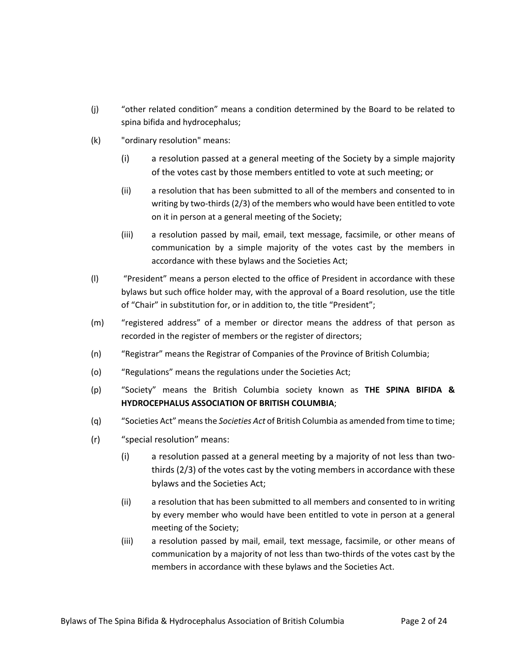- (j) "other related condition" means a condition determined by the Board to be related to spina bifida and hydrocephalus;
- (k) "ordinary resolution" means:
	- (i) a resolution passed at a general meeting of the Society by a simple majority of the votes cast by those members entitled to vote at such meeting; or
	- (ii) a resolution that has been submitted to all of the members and consented to in writing by two-thirds (2/3) of the members who would have been entitled to vote on it in person at a general meeting of the Society;
	- (iii) a resolution passed by mail, email, text message, facsimile, or other means of communication by a simple majority of the votes cast by the members in accordance with these bylaws and the Societies Act;
- (l) "President" means a person elected to the office of President in accordance with these bylaws but such office holder may, with the approval of a Board resolution, use the title of "Chair" in substitution for, or in addition to, the title "President";
- (m) "registered address" of a member or director means the address of that person as recorded in the register of members or the register of directors;
- (n) "Registrar" means the Registrar of Companies of the Province of British Columbia;
- (o) "Regulations" means the regulations under the Societies Act;
- (p) "Society" means the British Columbia society known as **THE SPINA BIFIDA & HYDROCEPHALUS ASSOCIATION OF BRITISH COLUMBIA**;
- (q) "Societies Act" means the *Societies Act* of British Columbia as amended from time to time;
- (r) "special resolution" means:
	- (i) a resolution passed at a general meeting by a majority of not less than twothirds (2/3) of the votes cast by the voting members in accordance with these bylaws and the Societies Act;
	- (ii) a resolution that has been submitted to all members and consented to in writing by every member who would have been entitled to vote in person at a general meeting of the Society;
	- (iii) a resolution passed by mail, email, text message, facsimile, or other means of communication by a majority of not less than two-thirds of the votes cast by the members in accordance with these bylaws and the Societies Act.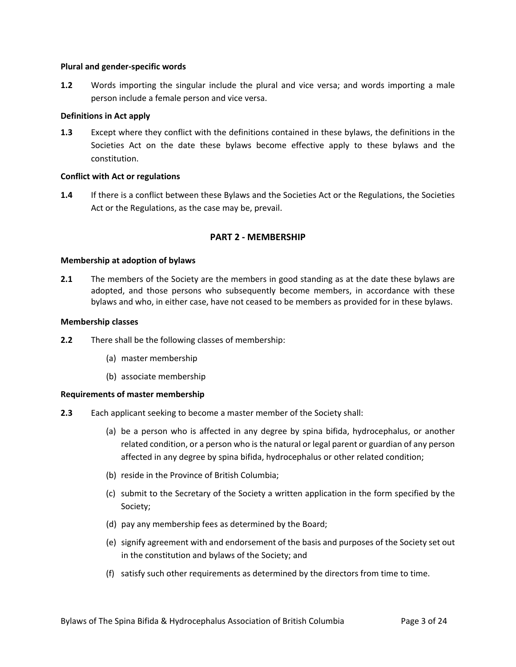### **Plural and gender-specific words**

**1.2** Words importing the singular include the plural and vice versa; and words importing a male person include a female person and vice versa.

### **Definitions in Act apply**

**1.3** Except where they conflict with the definitions contained in these bylaws, the definitions in the Societies Act on the date these bylaws become effective apply to these bylaws and the constitution.

### **Conflict with Act or regulations**

**1.4** If there is a conflict between these Bylaws and the Societies Act or the Regulations, the Societies Act or the Regulations, as the case may be, prevail.

# **PART 2 - MEMBERSHIP**

### **Membership at adoption of bylaws**

**2.1** The members of the Society are the members in good standing as at the date these bylaws are adopted, and those persons who subsequently become members, in accordance with these bylaws and who, in either case, have not ceased to be members as provided for in these bylaws.

### **Membership classes**

- **2.2** There shall be the following classes of membership:
	- (a) master membership
	- (b) associate membership

### **Requirements of master membership**

- **2.3** Each applicant seeking to become a master member of the Society shall:
	- (a) be a person who is affected in any degree by spina bifida, hydrocephalus, or another related condition, or a person who is the natural or legal parent or guardian of any person affected in any degree by spina bifida, hydrocephalus or other related condition;
	- (b) reside in the Province of British Columbia;
	- (c) submit to the Secretary of the Society a written application in the form specified by the Society;
	- (d) pay any membership fees as determined by the Board;
	- (e) signify agreement with and endorsement of the basis and purposes of the Society set out in the constitution and bylaws of the Society; and
	- (f) satisfy such other requirements as determined by the directors from time to time.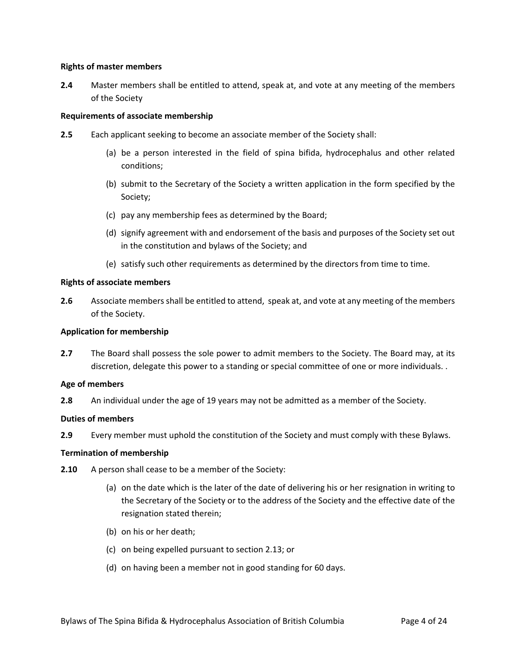## **Rights of master members**

**2.4** Master members shall be entitled to attend, speak at, and vote at any meeting of the members of the Society

# **Requirements of associate membership**

- **2.5** Each applicant seeking to become an associate member of the Society shall:
	- (a) be a person interested in the field of spina bifida, hydrocephalus and other related conditions;
	- (b) submit to the Secretary of the Society a written application in the form specified by the Society;
	- (c) pay any membership fees as determined by the Board;
	- (d) signify agreement with and endorsement of the basis and purposes of the Society set out in the constitution and bylaws of the Society; and
	- (e) satisfy such other requirements as determined by the directors from time to time.

# **Rights of associate members**

**2.6** Associate members shall be entitled to attend, speak at, and vote at any meeting of the members of the Society.

# **Application for membership**

**2.7** The Board shall possess the sole power to admit members to the Society. The Board may, at its discretion, delegate this power to a standing or special committee of one or more individuals. .

### **Age of members**

**2.8** An individual under the age of 19 years may not be admitted as a member of the Society.

# **Duties of members**

**2.9** Every member must uphold the constitution of the Society and must comply with these Bylaws.

### **Termination of membership**

- **2.10** A person shall cease to be a member of the Society:
	- (a) on the date which is the later of the date of delivering his or her resignation in writing to the Secretary of the Society or to the address of the Society and the effective date of the resignation stated therein;
	- (b) on his or her death;
	- (c) on being expelled pursuant to section [2.13;](#page-4-0) or
	- (d) on having been a member not in good standing for 60 days.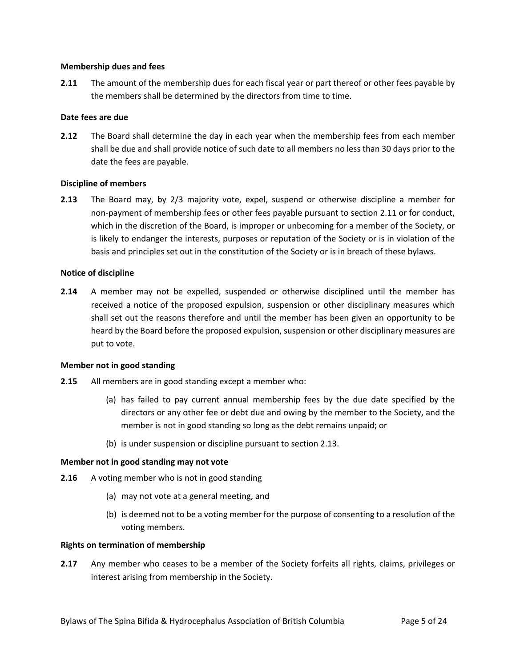### **Membership dues and fees**

<span id="page-4-1"></span>**2.11** The amount of the membership dues for each fiscal year or part thereof or other fees payable by the members shall be determined by the directors from time to time.

# **Date fees are due**

**2.12** The Board shall determine the day in each year when the membership fees from each member shall be due and shall provide notice of such date to all members no less than 30 days prior to the date the fees are payable.

# **Discipline of members**

<span id="page-4-0"></span>**2.13** The Board may, by 2/3 majority vote, expel, suspend or otherwise discipline a member for non-payment of membership fees or other fees payable pursuant to section [2.11](#page-4-1) or for conduct, which in the discretion of the Board, is improper or unbecoming for a member of the Society, or is likely to endanger the interests, purposes or reputation of the Society or is in violation of the basis and principles set out in the constitution of the Society or is in breach of these bylaws.

### **Notice of discipline**

**2.14** A member may not be expelled, suspended or otherwise disciplined until the member has received a notice of the proposed expulsion, suspension or other disciplinary measures which shall set out the reasons therefore and until the member has been given an opportunity to be heard by the Board before the proposed expulsion, suspension or other disciplinary measures are put to vote.

### **Member not in good standing**

- **2.15** All members are in good standing except a member who:
	- (a) has failed to pay current annual membership fees by the due date specified by the directors or any other fee or debt due and owing by the member to the Society, and the member is not in good standing so long as the debt remains unpaid; or
	- (b) is under suspension or discipline pursuant to section [2.13.](#page-4-0)

### **Member not in good standing may not vote**

- **2.16** A voting member who is not in good standing
	- (a) may not vote at a general meeting, and
	- (b) is deemed not to be a voting member for the purpose of consenting to a resolution of the voting members.

### **Rights on termination of membership**

**2.17** Any member who ceases to be a member of the Society forfeits all rights, claims, privileges or interest arising from membership in the Society.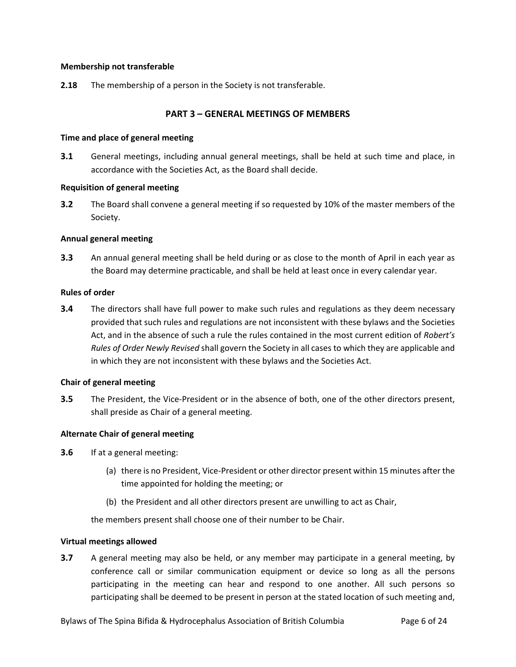# **Membership not transferable**

**2.18** The membership of a person in the Society is not transferable.

# **PART 3 – GENERAL MEETINGS OF MEMBERS**

### **Time and place of general meeting**

**3.1** General meetings, including annual general meetings, shall be held at such time and place, in accordance with the Societies Act, as the Board shall decide.

### **Requisition of general meeting**

**3.2** The Board shall convene a general meeting if so requested by 10% of the master members of the Society.

# **Annual general meeting**

**3.3** An annual general meeting shall be held during or as close to the month of April in each year as the Board may determine practicable, and shall be held at least once in every calendar year.

# **Rules of order**

**3.4** The directors shall have full power to make such rules and regulations as they deem necessary provided that such rules and regulations are not inconsistent with these bylaws and the Societies Act, and in the absence of such a rule the rules contained in the most current edition of *Robert's Rules of Order Newly Revised* shall govern the Society in all cases to which they are applicable and in which they are not inconsistent with these bylaws and the Societies Act.

### **Chair of general meeting**

**3.5** The President, the Vice-President or in the absence of both, one of the other directors present, shall preside as Chair of a general meeting.

### **Alternate Chair of general meeting**

- **3.6** If at a general meeting:
	- (a) there is no President, Vice-President or other director present within 15 minutes after the time appointed for holding the meeting; or
	- (b) the President and all other directors present are unwilling to act as Chair,

the members present shall choose one of their number to be Chair.

### **Virtual meetings allowed**

**3.7** A general meeting may also be held, or any member may participate in a general meeting, by conference call or similar communication equipment or device so long as all the persons participating in the meeting can hear and respond to one another. All such persons so participating shall be deemed to be present in person at the stated location of such meeting and,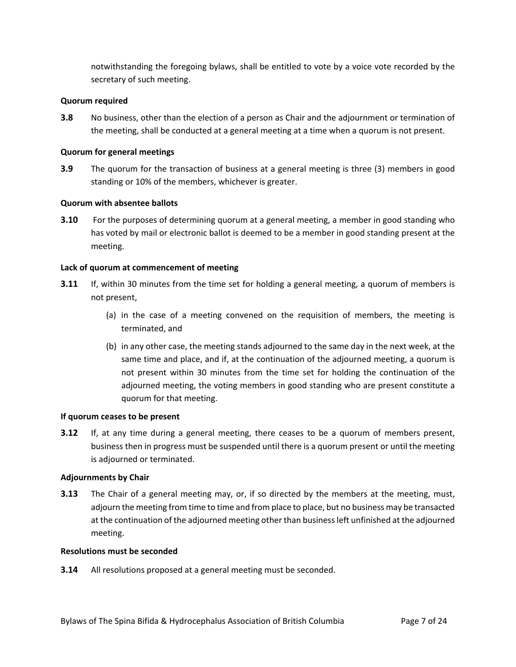notwithstanding the foregoing bylaws, shall be entitled to vote by a voice vote recorded by the secretary of such meeting.

# **Quorum required**

**3.8** No business, other than the election of a person as Chair and the adjournment or termination of the meeting, shall be conducted at a general meeting at a time when a quorum is not present.

# **Quorum for general meetings**

**3.9** The quorum for the transaction of business at a general meeting is three (3) members in good standing or 10% of the members, whichever is greater.

# **Quorum with absentee ballots**

**3.10** For the purposes of determining quorum at a general meeting, a member in good standing who has voted by mail or electronic ballot is deemed to be a member in good standing present at the meeting.

# **Lack of quorum at commencement of meeting**

- **3.11** If, within 30 minutes from the time set for holding a general meeting, a quorum of members is not present,
	- (a) in the case of a meeting convened on the requisition of members, the meeting is terminated, and
	- (b) in any other case, the meeting stands adjourned to the same day in the next week, at the same time and place, and if, at the continuation of the adjourned meeting, a quorum is not present within 30 minutes from the time set for holding the continuation of the adjourned meeting, the voting members in good standing who are present constitute a quorum for that meeting.

## **If quorum ceases to be present**

**3.12** If, at any time during a general meeting, there ceases to be a quorum of members present, business then in progress must be suspended until there is a quorum present or until the meeting is adjourned or terminated.

## **Adjournments by Chair**

**3.13** The Chair of a general meeting may, or, if so directed by the members at the meeting, must, adjourn the meeting from time to time and from place to place, but no business may be transacted at the continuation of the adjourned meeting other than business left unfinished at the adjourned meeting.

# **Resolutions must be seconded**

**3.14** All resolutions proposed at a general meeting must be seconded.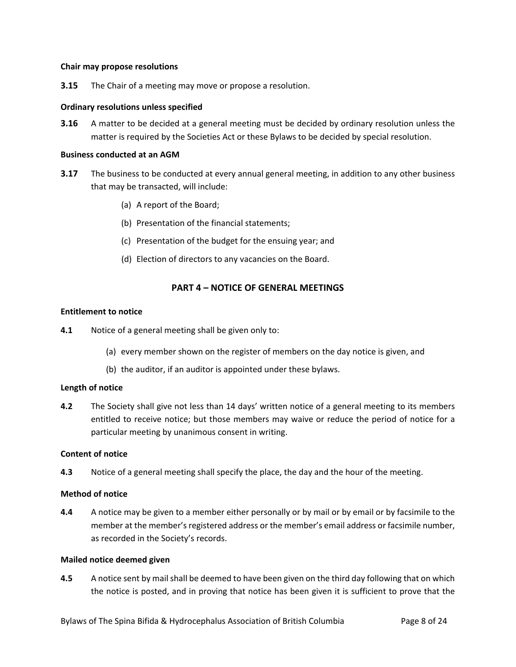## **Chair may propose resolutions**

**3.15** The Chair of a meeting may move or propose a resolution.

# **Ordinary resolutions unless specified**

**3.16** A matter to be decided at a general meeting must be decided by ordinary resolution unless the matter is required by the Societies Act or these Bylaws to be decided by special resolution.

## **Business conducted at an AGM**

- **3.17** The business to be conducted at every annual general meeting, in addition to any other business that may be transacted, will include:
	- (a) A report of the Board;
	- (b) Presentation of the financial statements;
	- (c) Presentation of the budget for the ensuing year; and
	- (d) Election of directors to any vacancies on the Board.

# **PART 4 – NOTICE OF GENERAL MEETINGS**

# **Entitlement to notice**

**4.1** Notice of a general meeting shall be given only to:

- (a) every member shown on the register of members on the day notice is given, and
- (b) the auditor, if an auditor is appointed under these bylaws.

# **Length of notice**

**4.2** The Society shall give not less than 14 days' written notice of a general meeting to its members entitled to receive notice; but those members may waive or reduce the period of notice for a particular meeting by unanimous consent in writing.

# **Content of notice**

**4.3** Notice of a general meeting shall specify the place, the day and the hour of the meeting.

# **Method of notice**

**4.4** A notice may be given to a member either personally or by mail or by email or by facsimile to the member at the member's registered address or the member's email address or facsimile number, as recorded in the Society's records.

## **Mailed notice deemed given**

**4.5** A notice sent by mail shall be deemed to have been given on the third day following that on which the notice is posted, and in proving that notice has been given it is sufficient to prove that the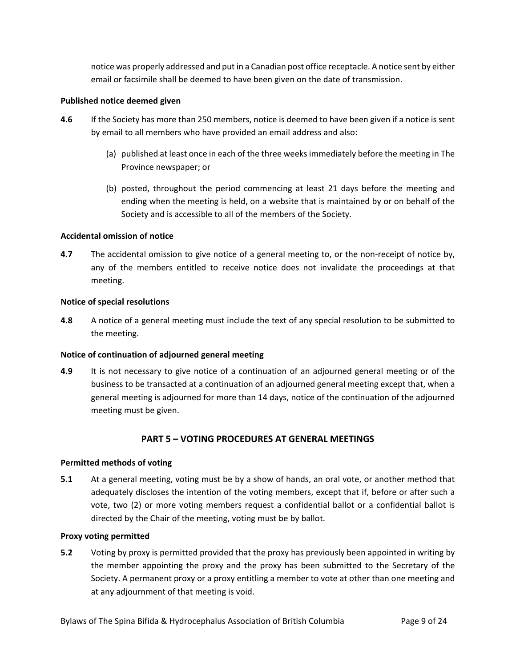notice was properly addressed and put in a Canadian post office receptacle. A notice sent by either email or facsimile shall be deemed to have been given on the date of transmission.

# **Published notice deemed given**

- **4.6** If the Society has more than 250 members, notice is deemed to have been given if a notice is sent by email to all members who have provided an email address and also:
	- (a) published at least once in each of the three weeks immediately before the meeting in The Province newspaper; or
	- (b) posted, throughout the period commencing at least 21 days before the meeting and ending when the meeting is held, on a website that is maintained by or on behalf of the Society and is accessible to all of the members of the Society.

# **Accidental omission of notice**

**4.7** The accidental omission to give notice of a general meeting to, or the non-receipt of notice by, any of the members entitled to receive notice does not invalidate the proceedings at that meeting.

### **Notice of special resolutions**

**4.8** A notice of a general meeting must include the text of any special resolution to be submitted to the meeting.

### **Notice of continuation of adjourned general meeting**

**4.9** It is not necessary to give notice of a continuation of an adjourned general meeting or of the business to be transacted at a continuation of an adjourned general meeting except that, when a general meeting is adjourned for more than 14 days, notice of the continuation of the adjourned meeting must be given.

# **PART 5 – VOTING PROCEDURES AT GENERAL MEETINGS**

### **Permitted methods of voting**

**5.1** At a general meeting, voting must be by a show of hands, an oral vote, or another method that adequately discloses the intention of the voting members, except that if, before or after such a vote, two (2) or more voting members request a confidential ballot or a confidential ballot is directed by the Chair of the meeting, voting must be by ballot.

### **Proxy voting permitted**

**5.2** Voting by proxy is permitted provided that the proxy has previously been appointed in writing by the member appointing the proxy and the proxy has been submitted to the Secretary of the Society. A permanent proxy or a proxy entitling a member to vote at other than one meeting and at any adjournment of that meeting is void.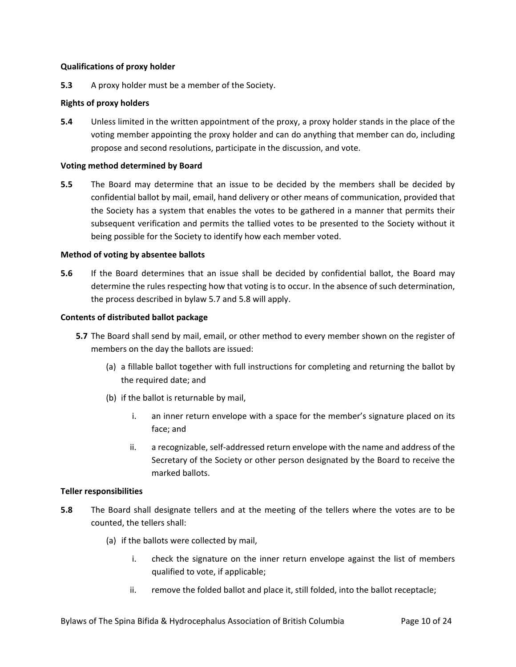# **Qualifications of proxy holder**

**5.3** A proxy holder must be a member of the Society.

# **Rights of proxy holders**

**5.4** Unless limited in the written appointment of the proxy, a proxy holder stands in the place of the voting member appointing the proxy holder and can do anything that member can do, including propose and second resolutions, participate in the discussion, and vote.

## **Voting method determined by Board**

**5.5** The Board may determine that an issue to be decided by the members shall be decided by confidential ballot by mail, email, hand delivery or other means of communication, provided that the Society has a system that enables the votes to be gathered in a manner that permits their subsequent verification and permits the tallied votes to be presented to the Society without it being possible for the Society to identify how each member voted.

# **Method of voting by absentee ballots**

**5.6** If the Board determines that an issue shall be decided by confidential ballot, the Board may determine the rules respecting how that voting is to occur. In the absence of such determination, the process described in bylaw [5.7](#page-9-0) an[d 5.8](#page-9-1) will apply.

# **Contents of distributed ballot package**

- <span id="page-9-0"></span>**5.7** The Board shall send by mail, email, or other method to every member shown on the register of members on the day the ballots are issued:
	- (a) a fillable ballot together with full instructions for completing and returning the ballot by the required date; and
	- (b) if the ballot is returnable by mail,
		- i. an inner return envelope with a space for the member's signature placed on its face; and
		- ii. a recognizable, self-addressed return envelope with the name and address of the Secretary of the Society or other person designated by the Board to receive the marked ballots.

# **Teller responsibilities**

- <span id="page-9-1"></span>**5.8** The Board shall designate tellers and at the meeting of the tellers where the votes are to be counted, the tellers shall:
	- (a) if the ballots were collected by mail,
		- i. check the signature on the inner return envelope against the list of members qualified to vote, if applicable;
		- ii. remove the folded ballot and place it, still folded, into the ballot receptacle;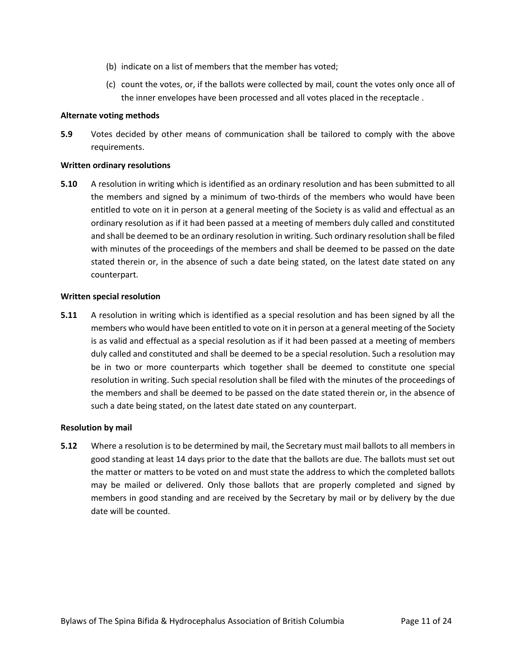- (b) indicate on a list of members that the member has voted;
- (c) count the votes, or, if the ballots were collected by mail, count the votes only once all of the inner envelopes have been processed and all votes placed in the receptacle .

## **Alternate voting methods**

**5.9** Votes decided by other means of communication shall be tailored to comply with the above requirements.

## **Written ordinary resolutions**

**5.10** A resolution in writing which is identified as an ordinary resolution and has been submitted to all the members and signed by a minimum of two-thirds of the members who would have been entitled to vote on it in person at a general meeting of the Society is as valid and effectual as an ordinary resolution as if it had been passed at a meeting of members duly called and constituted and shall be deemed to be an ordinary resolution in writing. Such ordinary resolution shall be filed with minutes of the proceedings of the members and shall be deemed to be passed on the date stated therein or, in the absence of such a date being stated, on the latest date stated on any counterpart.

### **Written special resolution**

**5.11** A resolution in writing which is identified as a special resolution and has been signed by all the members who would have been entitled to vote on it in person at a general meeting of the Society is as valid and effectual as a special resolution as if it had been passed at a meeting of members duly called and constituted and shall be deemed to be a special resolution. Such a resolution may be in two or more counterparts which together shall be deemed to constitute one special resolution in writing. Such special resolution shall be filed with the minutes of the proceedings of the members and shall be deemed to be passed on the date stated therein or, in the absence of such a date being stated, on the latest date stated on any counterpart.

### **Resolution by mail**

**5.12** Where a resolution is to be determined by mail, the Secretary must mail ballots to all members in good standing at least 14 days prior to the date that the ballots are due. The ballots must set out the matter or matters to be voted on and must state the address to which the completed ballots may be mailed or delivered. Only those ballots that are properly completed and signed by members in good standing and are received by the Secretary by mail or by delivery by the due date will be counted.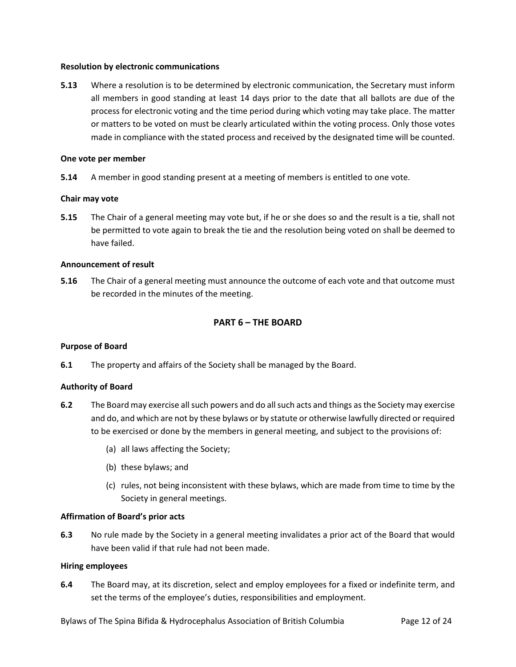## **Resolution by electronic communications**

**5.13** Where a resolution is to be determined by electronic communication, the Secretary must inform all members in good standing at least 14 days prior to the date that all ballots are due of the process for electronic voting and the time period during which voting may take place. The matter or matters to be voted on must be clearly articulated within the voting process. Only those votes made in compliance with the stated process and received by the designated time will be counted.

# **One vote per member**

**5.14** A member in good standing present at a meeting of members is entitled to one vote.

# **Chair may vote**

**5.15** The Chair of a general meeting may vote but, if he or she does so and the result is a tie, shall not be permitted to vote again to break the tie and the resolution being voted on shall be deemed to have failed.

# **Announcement of result**

**5.16** The Chair of a general meeting must announce the outcome of each vote and that outcome must be recorded in the minutes of the meeting.

# **PART 6 – THE BOARD**

### **Purpose of Board**

**6.1** The property and affairs of the Society shall be managed by the Board.

### **Authority of Board**

- **6.2** The Board may exercise all such powers and do all such acts and things as the Society may exercise and do, and which are not by these bylaws or by statute or otherwise lawfully directed or required to be exercised or done by the members in general meeting, and subject to the provisions of:
	- (a) all laws affecting the Society;
	- (b) these bylaws; and
	- (c) rules, not being inconsistent with these bylaws, which are made from time to time by the Society in general meetings.

# **Affirmation of Board's prior acts**

**6.3** No rule made by the Society in a general meeting invalidates a prior act of the Board that would have been valid if that rule had not been made.

# **Hiring employees**

**6.4** The Board may, at its discretion, select and employ employees for a fixed or indefinite term, and set the terms of the employee's duties, responsibilities and employment.

Bylaws of The Spina Bifida & Hydrocephalus Association of British Columbia Page 12 of 24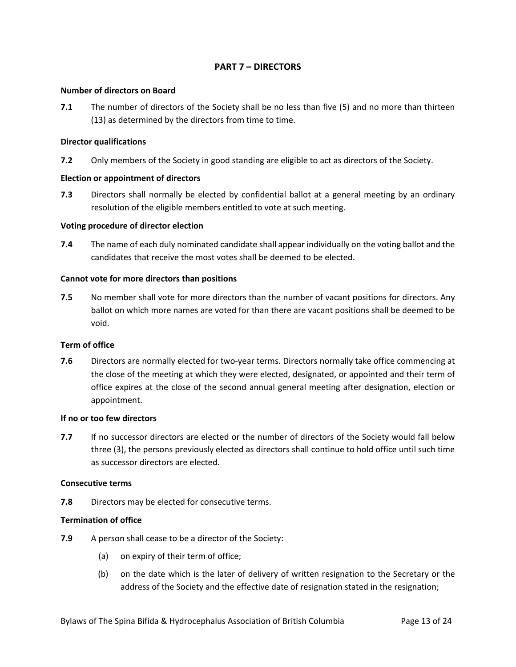# **PART 7 – DIRECTORS**

# **Number of directors on Board**

**7.1** The number of directors of the Society shall be no less than five (5) and no more than thirteen (13) as determined by the directors from time to time.

## **Director qualifications**

**7.2** Only members of the Society in good standing are eligible to act as directors of the Society.

# **Election or appointment of directors**

**7.3** Directors shall normally be elected by confidential ballot at a general meeting by an ordinary resolution of the eligible members entitled to vote at such meeting.

# **Voting procedure of director election**

**7.4** The name of each duly nominated candidate shall appear individually on the voting ballot and the candidates that receive the most votes shall be deemed to be elected.

# **Cannot vote for more directors than positions**

**7.5** No member shall vote for more directors than the number of vacant positions for directors. Any ballot on which more names are voted for than there are vacant positions shall be deemed to be void.

### **Term of office**

**7.6** Directors are normally elected for two-year terms. Directors normally take office commencing at the close of the meeting at which they were elected, designated, or appointed and their term of office expires at the close of the second annual general meeting after designation, election or appointment.

### **If no or too few directors**

**7.7** If no successor directors are elected or the number of directors of the Society would fall below three (3), the persons previously elected as directors shall continue to hold office until such time as successor directors are elected.

### **Consecutive terms**

**7.8** Directors may be elected for consecutive terms.

# **Termination of office**

- **7.9** A person shall cease to be a director of the Society:
	- (a) on expiry of their term of office;
	- (b) on the date which is the later of delivery of written resignation to the Secretary or the address of the Society and the effective date of resignation stated in the resignation;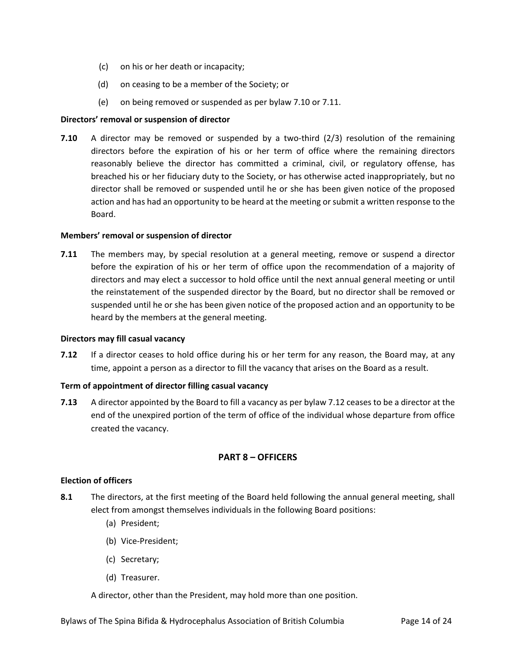- (c) on his or her death or incapacity;
- (d) on ceasing to be a member of the Society; or
- (e) on being removed or suspended as per bylaw [7.10](#page-13-0) o[r 7.11.](#page-13-1)

# **Directors' removal or suspension of director**

<span id="page-13-0"></span>**7.10** A director may be removed or suspended by a two-third (2/3) resolution of the remaining directors before the expiration of his or her term of office where the remaining directors reasonably believe the director has committed a criminal, civil, or regulatory offense, has breached his or her fiduciary duty to the Society, or has otherwise acted inappropriately, but no director shall be removed or suspended until he or she has been given notice of the proposed action and has had an opportunity to be heard at the meeting or submit a written response to the Board.

# **Members' removal or suspension of director**

<span id="page-13-1"></span>**7.11** The members may, by special resolution at a general meeting, remove or suspend a director before the expiration of his or her term of office upon the recommendation of a majority of directors and may elect a successor to hold office until the next annual general meeting or until the reinstatement of the suspended director by the Board, but no director shall be removed or suspended until he or she has been given notice of the proposed action and an opportunity to be heard by the members at the general meeting.

# **Directors may fill casual vacancy**

<span id="page-13-2"></span>**7.12** If a director ceases to hold office during his or her term for any reason, the Board may, at any time, appoint a person as a director to fill the vacancy that arises on the Board as a result.

# **Term of appointment of director filling casual vacancy**

**7.13** A director appointed by the Board to fill a vacancy as per bylaw [7.12](#page-13-2) ceases to be a director at the end of the unexpired portion of the term of office of the individual whose departure from office created the vacancy.

# **PART 8 – OFFICERS**

### **Election of officers**

- **8.1** The directors, at the first meeting of the Board held following the annual general meeting, shall elect from amongst themselves individuals in the following Board positions:
	- (a) President;
	- (b) Vice-President;
	- (c) Secretary;
	- (d) Treasurer.

A director, other than the President, may hold more than one position.

Bylaws of The Spina Bifida & Hydrocephalus Association of British Columbia Page 14 of 24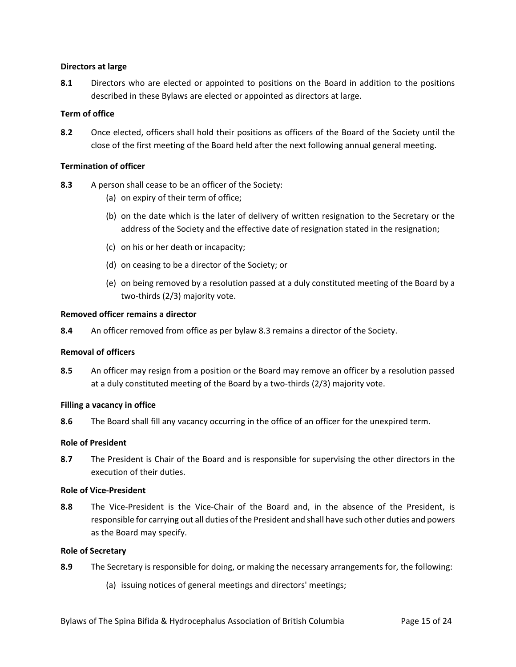# **Directors at large**

**8.1** Directors who are elected or appointed to positions on the Board in addition to the positions described in these Bylaws are elected or appointed as directors at large.

# **Term of office**

**8.2** Once elected, officers shall hold their positions as officers of the Board of the Society until the close of the first meeting of the Board held after the next following annual general meeting.

# **Termination of officer**

<span id="page-14-0"></span>**8.3** A person shall cease to be an officer of the Society:

- (a) on expiry of their term of office;
- (b) on the date which is the later of delivery of written resignation to the Secretary or the address of the Society and the effective date of resignation stated in the resignation;
- (c) on his or her death or incapacity;
- (d) on ceasing to be a director of the Society; or
- (e) on being removed by a resolution passed at a duly constituted meeting of the Board by a two-thirds (2/3) majority vote.

### **Removed officer remains a director**

**8.4** An officer removed from office as per bylaw [8.3](#page-14-0) remains a director of the Society.

# **Removal of officers**

**8.5** An officer may resign from a position or the Board may remove an officer by a resolution passed at a duly constituted meeting of the Board by a two-thirds (2/3) majority vote.

### **Filling a vacancy in office**

**8.6** The Board shall fill any vacancy occurring in the office of an officer for the unexpired term.

### **Role of President**

**8.7** The President is Chair of the Board and is responsible for supervising the other directors in the execution of their duties.

### **Role of Vice-President**

**8.8** The Vice-President is the Vice-Chair of the Board and, in the absence of the President, is responsible for carrying out all duties of the President and shall have such other duties and powers as the Board may specify.

### **Role of Secretary**

- **8.9** The Secretary is responsible for doing, or making the necessary arrangements for, the following:
	- (a) issuing notices of general meetings and directors' meetings;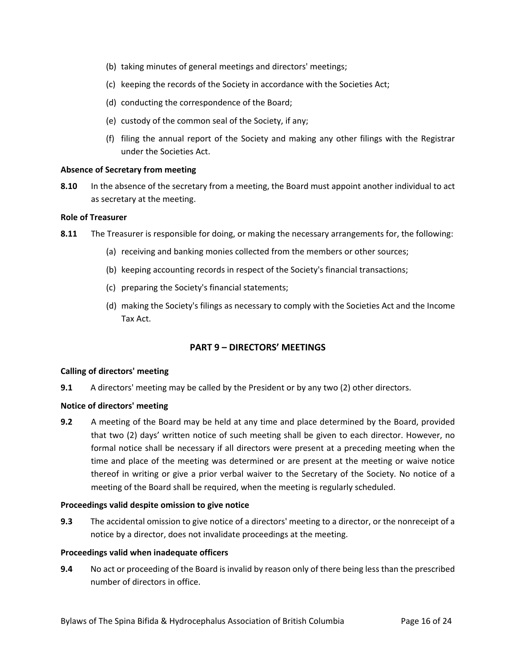- (b) taking minutes of general meetings and directors' meetings;
- (c) keeping the records of the Society in accordance with the Societies Act;
- (d) conducting the correspondence of the Board;
- (e) custody of the common seal of the Society, if any;
- (f) filing the annual report of the Society and making any other filings with the Registrar under the Societies Act.

# **Absence of Secretary from meeting**

**8.10** In the absence of the secretary from a meeting, the Board must appoint another individual to act as secretary at the meeting.

# **Role of Treasurer**

- **8.11** The Treasurer is responsible for doing, or making the necessary arrangements for, the following:
	- (a) receiving and banking monies collected from the members or other sources;
	- (b) keeping accounting records in respect of the Society's financial transactions;
	- (c) preparing the Society's financial statements;
	- (d) making the Society's filings as necessary to comply with the Societies Act and the Income Tax Act.

# **PART 9 – DIRECTORS' MEETINGS**

# **Calling of directors' meeting**

**9.1** A directors' meeting may be called by the President or by any two (2) other directors.

# **Notice of directors' meeting**

**9.2** A meeting of the Board may be held at any time and place determined by the Board, provided that two (2) days' written notice of such meeting shall be given to each director. However, no formal notice shall be necessary if all directors were present at a preceding meeting when the time and place of the meeting was determined or are present at the meeting or waive notice thereof in writing or give a prior verbal waiver to the Secretary of the Society. No notice of a meeting of the Board shall be required, when the meeting is regularly scheduled.

# **Proceedings valid despite omission to give notice**

**9.3** The accidental omission to give notice of a directors' meeting to a director, or the nonreceipt of a notice by a director, does not invalidate proceedings at the meeting.

# **Proceedings valid when inadequate officers**

**9.4** No act or proceeding of the Board is invalid by reason only of there being less than the prescribed number of directors in office.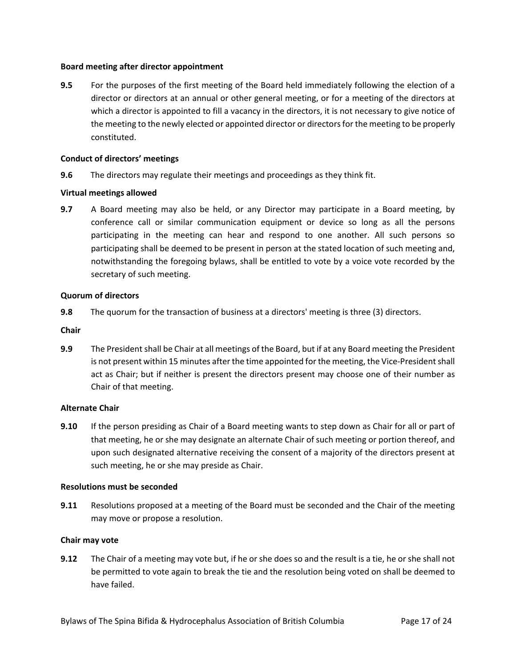# **Board meeting after director appointment**

**9.5** For the purposes of the first meeting of the Board held immediately following the election of a director or directors at an annual or other general meeting, or for a meeting of the directors at which a director is appointed to fill a vacancy in the directors, it is not necessary to give notice of the meeting to the newly elected or appointed director or directors for the meeting to be properly constituted.

# **Conduct of directors' meetings**

**9.6** The directors may regulate their meetings and proceedings as they think fit.

# **Virtual meetings allowed**

**9.7** A Board meeting may also be held, or any Director may participate in a Board meeting, by conference call or similar communication equipment or device so long as all the persons participating in the meeting can hear and respond to one another. All such persons so participating shall be deemed to be present in person at the stated location of such meeting and, notwithstanding the foregoing bylaws, shall be entitled to vote by a voice vote recorded by the secretary of such meeting.

# **Quorum of directors**

**9.8** The quorum for the transaction of business at a directors' meeting is three (3) directors.

**Chair**

**9.9** The President shall be Chair at all meetings of the Board, but if at any Board meeting the President is not present within 15 minutes after the time appointed for the meeting, the Vice-President shall act as Chair; but if neither is present the directors present may choose one of their number as Chair of that meeting.

# **Alternate Chair**

**9.10** If the person presiding as Chair of a Board meeting wants to step down as Chair for all or part of that meeting, he or she may designate an alternate Chair of such meeting or portion thereof, and upon such designated alternative receiving the consent of a majority of the directors present at such meeting, he or she may preside as Chair.

### **Resolutions must be seconded**

**9.11** Resolutions proposed at a meeting of the Board must be seconded and the Chair of the meeting may move or propose a resolution.

# **Chair may vote**

**9.12** The Chair of a meeting may vote but, if he or she does so and the result is a tie, he or she shall not be permitted to vote again to break the tie and the resolution being voted on shall be deemed to have failed.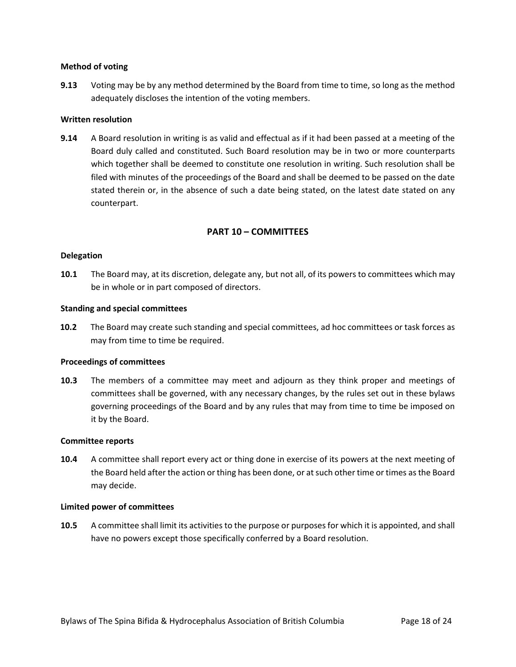## **Method of voting**

**9.13** Voting may be by any method determined by the Board from time to time, so long as the method adequately discloses the intention of the voting members.

# **Written resolution**

**9.14** A Board resolution in writing is as valid and effectual as if it had been passed at a meeting of the Board duly called and constituted. Such Board resolution may be in two or more counterparts which together shall be deemed to constitute one resolution in writing. Such resolution shall be filed with minutes of the proceedings of the Board and shall be deemed to be passed on the date stated therein or, in the absence of such a date being stated, on the latest date stated on any counterpart.

# **PART 10 – COMMITTEES**

# **Delegation**

**10.1** The Board may, at its discretion, delegate any, but not all, of its powers to committees which may be in whole or in part composed of directors.

### **Standing and special committees**

**10.2** The Board may create such standing and special committees, ad hoc committees or task forces as may from time to time be required.

### **Proceedings of committees**

**10.3** The members of a committee may meet and adjourn as they think proper and meetings of committees shall be governed, with any necessary changes, by the rules set out in these bylaws governing proceedings of the Board and by any rules that may from time to time be imposed on it by the Board.

### **Committee reports**

**10.4** A committee shall report every act or thing done in exercise of its powers at the next meeting of the Board held after the action or thing has been done, or at such other time or times as the Board may decide.

### **Limited power of committees**

**10.5** A committee shall limit its activities to the purpose or purposes for which it is appointed, and shall have no powers except those specifically conferred by a Board resolution.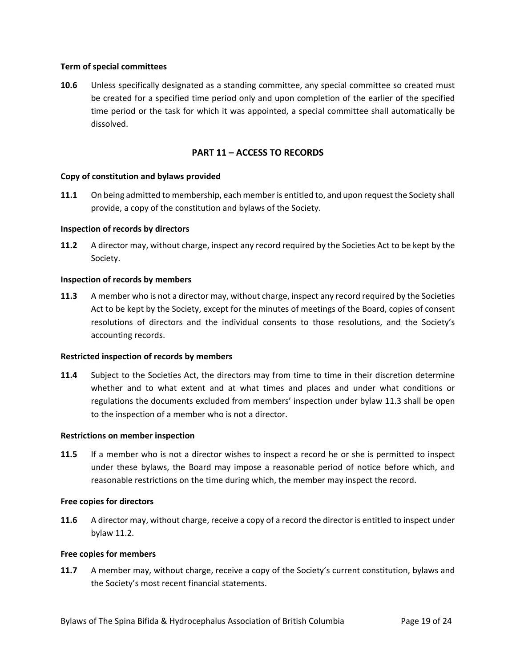# **Term of special committees**

**10.6** Unless specifically designated as a standing committee, any special committee so created must be created for a specified time period only and upon completion of the earlier of the specified time period or the task for which it was appointed, a special committee shall automatically be dissolved.

# **PART 11 – ACCESS TO RECORDS**

# **Copy of constitution and bylaws provided**

**11.1** On being admitted to membership, each member is entitled to, and upon request the Society shall provide, a copy of the constitution and bylaws of the Society.

# **Inspection of records by directors**

<span id="page-18-1"></span>**11.2** A director may, without charge, inspect any record required by the Societies Act to be kept by the Society.

# **Inspection of records by members**

<span id="page-18-0"></span>**11.3** A member who is not a director may, without charge, inspect any record required by the Societies Act to be kept by the Society, except for the minutes of meetings of the Board, copies of consent resolutions of directors and the individual consents to those resolutions, and the Society's accounting records.

### **Restricted inspection of records by members**

**11.4** Subject to the Societies Act, the directors may from time to time in their discretion determine whether and to what extent and at what times and places and under what conditions or regulations the documents excluded from members' inspection under bylaw [11.3](#page-18-0) shall be open to the inspection of a member who is not a director.

### **Restrictions on member inspection**

**11.5** If a member who is not a director wishes to inspect a record he or she is permitted to inspect under these bylaws, the Board may impose a reasonable period of notice before which, and reasonable restrictions on the time during which, the member may inspect the record.

### **Free copies for directors**

**11.6** A director may, without charge, receive a copy of a record the director is entitled to inspect under bylaw [11.2.](#page-18-1)

### **Free copies for members**

**11.7** A member may, without charge, receive a copy of the Society's current constitution, bylaws and the Society's most recent financial statements.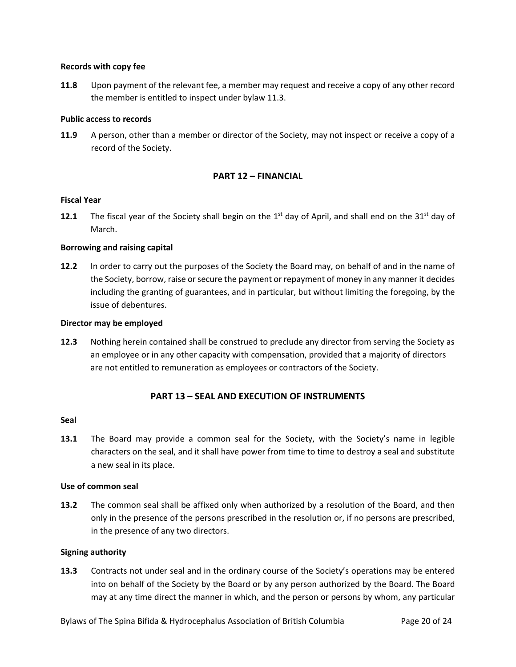## **Records with copy fee**

**11.8** Upon payment of the relevant fee, a member may request and receive a copy of any other record the member is entitled to inspect under bylaw [11.3.](#page-18-0)

# **Public access to records**

**11.9** A person, other than a member or director of the Society, may not inspect or receive a copy of a record of the Society.

# **PART 12 – FINANCIAL**

# **Fiscal Year**

**12.1** The fiscal year of the Society shall begin on the  $1<sup>st</sup>$  day of April, and shall end on the 31 $<sup>st</sup>$  day of</sup> March.

# **Borrowing and raising capital**

**12.2** In order to carry out the purposes of the Society the Board may, on behalf of and in the name of the Society, borrow, raise or secure the payment or repayment of money in any manner it decides including the granting of guarantees, and in particular, but without limiting the foregoing, by the issue of debentures.

### **Director may be employed**

**12.3** Nothing herein contained shall be construed to preclude any director from serving the Society as an employee or in any other capacity with compensation, provided that a majority of directors are not entitled to remuneration as employees or contractors of the Society.

# **PART 13 – SEAL AND EXECUTION OF INSTRUMENTS**

### **Seal**

**13.1** The Board may provide a common seal for the Society, with the Society's name in legible characters on the seal, and it shall have power from time to time to destroy a seal and substitute a new seal in its place.

### **Use of common seal**

**13.2** The common seal shall be affixed only when authorized by a resolution of the Board, and then only in the presence of the persons prescribed in the resolution or, if no persons are prescribed, in the presence of any two directors.

# **Signing authority**

**13.3** Contracts not under seal and in the ordinary course of the Society's operations may be entered into on behalf of the Society by the Board or by any person authorized by the Board. The Board may at any time direct the manner in which, and the person or persons by whom, any particular

Bylaws of The Spina Bifida & Hydrocephalus Association of British Columbia Page 20 of 24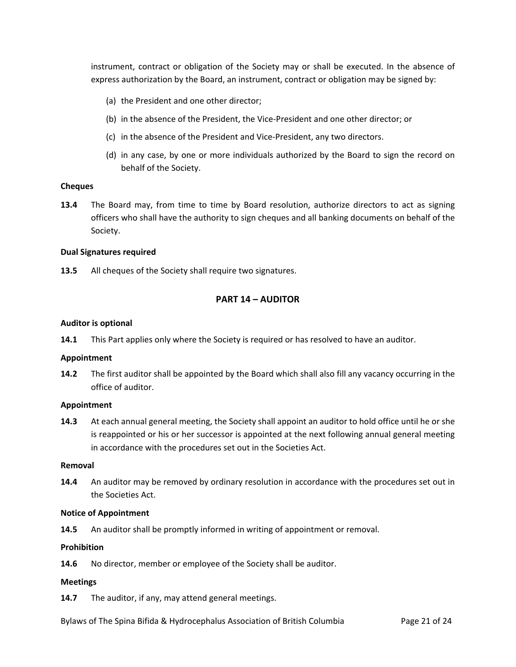instrument, contract or obligation of the Society may or shall be executed. In the absence of express authorization by the Board, an instrument, contract or obligation may be signed by:

- (a) the President and one other director;
- (b) in the absence of the President, the Vice-President and one other director; or
- (c) in the absence of the President and Vice-President, any two directors.
- (d) in any case, by one or more individuals authorized by the Board to sign the record on behalf of the Society.

### **Cheques**

**13.4** The Board may, from time to time by Board resolution, authorize directors to act as signing officers who shall have the authority to sign cheques and all banking documents on behalf of the Society.

### **Dual Signatures required**

**13.5** All cheques of the Society shall require two signatures.

# **PART 14 – AUDITOR**

### **Auditor is optional**

**14.1** This Part applies only where the Society is required or has resolved to have an auditor.

#### **Appointment**

**14.2** The first auditor shall be appointed by the Board which shall also fill any vacancy occurring in the office of auditor.

# **Appointment**

**14.3** At each annual general meeting, the Society shall appoint an auditor to hold office until he or she is reappointed or his or her successor is appointed at the next following annual general meeting in accordance with the procedures set out in the Societies Act.

#### **Removal**

**14.4** An auditor may be removed by ordinary resolution in accordance with the procedures set out in the Societies Act.

#### **Notice of Appointment**

**14.5** An auditor shall be promptly informed in writing of appointment or removal.

### **Prohibition**

**14.6** No director, member or employee of the Society shall be auditor.

### **Meetings**

**14.7** The auditor, if any, may attend general meetings.

Bylaws of The Spina Bifida & Hydrocephalus Association of British Columbia Page 21 of 24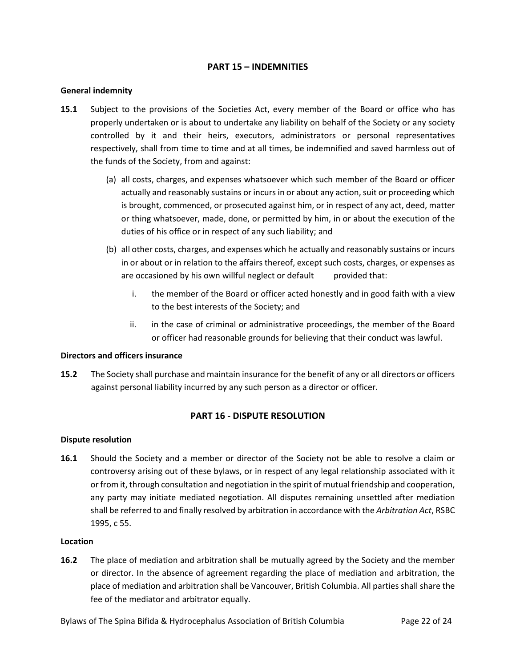# **PART 15 – INDEMNITIES**

# **General indemnity**

- **15.1** Subject to the provisions of the Societies Act, every member of the Board or office who has properly undertaken or is about to undertake any liability on behalf of the Society or any society controlled by it and their heirs, executors, administrators or personal representatives respectively, shall from time to time and at all times, be indemnified and saved harmless out of the funds of the Society, from and against:
	- (a) all costs, charges, and expenses whatsoever which such member of the Board or officer actually and reasonably sustains or incurs in or about any action, suit or proceeding which is brought, commenced, or prosecuted against him, or in respect of any act, deed, matter or thing whatsoever, made, done, or permitted by him, in or about the execution of the duties of his office or in respect of any such liability; and
	- (b) all other costs, charges, and expenses which he actually and reasonably sustains or incurs in or about or in relation to the affairs thereof, except such costs, charges, or expenses as are occasioned by his own willful neglect or default provided that:
		- i. the member of the Board or officer acted honestly and in good faith with a view to the best interests of the Society; and
		- ii. in the case of criminal or administrative proceedings, the member of the Board or officer had reasonable grounds for believing that their conduct was lawful.

### **Directors and officers insurance**

**15.2** The Society shall purchase and maintain insurance for the benefit of any or all directors or officers against personal liability incurred by any such person as a director or officer.

# **PART 16 - DISPUTE RESOLUTION**

### **Dispute resolution**

**16.1** Should the Society and a member or director of the Society not be able to resolve a claim or controversy arising out of these bylaws, or in respect of any legal relationship associated with it or from it, through consultation and negotiation in the spirit of mutual friendship and cooperation, any party may initiate mediated negotiation. All disputes remaining unsettled after mediation shall be referred to and finally resolved by arbitration in accordance with the *Arbitration Act*, RSBC 1995, c 55.

### **Location**

**16.2** The place of mediation and arbitration shall be mutually agreed by the Society and the member or director. In the absence of agreement regarding the place of mediation and arbitration, the place of mediation and arbitration shall be Vancouver, British Columbia. All parties shall share the fee of the mediator and arbitrator equally.

Bylaws of The Spina Bifida & Hydrocephalus Association of British Columbia Page 22 of 24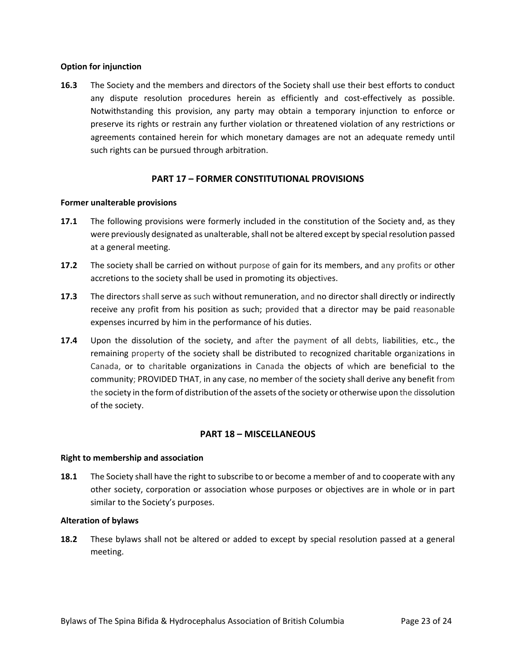# **Option for injunction**

**16.3** The Society and the members and directors of the Society shall use their best efforts to conduct any dispute resolution procedures herein as efficiently and cost-effectively as possible. Notwithstanding this provision, any party may obtain a temporary injunction to enforce or preserve its rights or restrain any further violation or threatened violation of any restrictions or agreements contained herein for which monetary damages are not an adequate remedy until such rights can be pursued through arbitration.

# **PART 17 – FORMER CONSTITUTIONAL PROVISIONS**

### **Former unalterable provisions**

- **17.1** The following provisions were formerly included in the constitution of the Society and, as they were previously designated as unalterable, shall not be altered except by special resolution passed at a general meeting.
- **17.2** The society shall be carried on without purpose of gain for its members, and any profits or other accretions to the society shall be used in promoting its objectives.
- **17.3** The directors shall serve as such without remuneration, and no director shall directly or indirectly receive any profit from his position as such; provided that a director may be paid reasonable expenses incurred by him in the performance of his duties.
- **17.4** Upon the dissolution of the society, and after the payment of all debts, liabilities, etc., the remaining property of the society shall be distributed to recognized charitable organizations in Canada, or to charitable organizations in Canada the objects of which are beneficial to the community; PROVIDED THAT, in any case, no member of the society shall derive any benefit from the society in the form of distribution of the assets of the society or otherwise upon the dissolution of the society.

# **PART 18 – MISCELLANEOUS**

### **Right to membership and association**

**18.1** The Society shall have the right to subscribe to or become a member of and to cooperate with any other society, corporation or association whose purposes or objectives are in whole or in part similar to the Society's purposes.

## **Alteration of bylaws**

**18.2** These bylaws shall not be altered or added to except by special resolution passed at a general meeting.